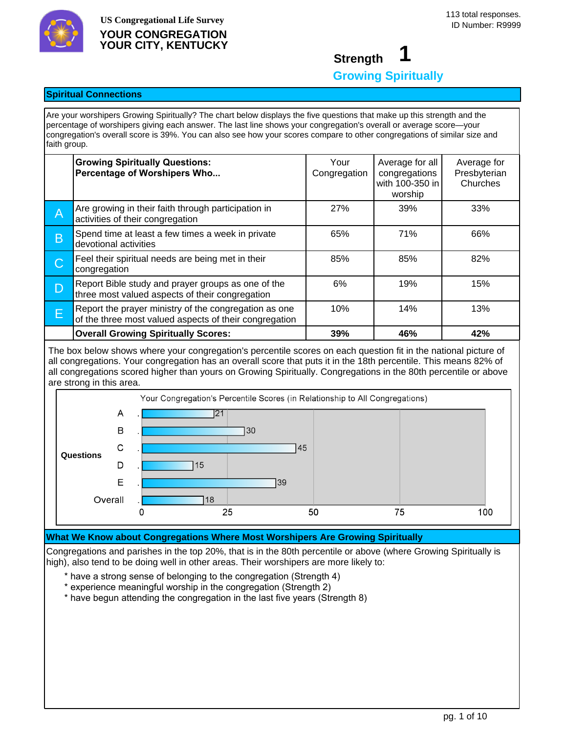

## **Strength 1 Growing Spiritually**

## **Spiritual Connections**

Are your worshipers Growing Spiritually? The chart below displays the five questions that make up this strength and the percentage of worshipers giving each answer. The last line shows your congregation's overall or average score—your congregation's overall score is 39%. You can also see how your scores compare to other congregations of similar size and faith group.

|             | <b>Growing Spiritually Questions:</b><br>Percentage of Worshipers Who                                           | Your<br>Congregation | Average for all<br>congregations<br>with 100-350 in<br>worship | Average for<br>Presbyterian<br>Churches |
|-------------|-----------------------------------------------------------------------------------------------------------------|----------------------|----------------------------------------------------------------|-----------------------------------------|
| Α           | Are growing in their faith through participation in<br>activities of their congregation                         | 27%                  | 39%                                                            | 33%                                     |
| $\mathsf B$ | Spend time at least a few times a week in private<br>devotional activities                                      | 65%                  | 71%                                                            | 66%                                     |
| С           | Feel their spiritual needs are being met in their<br>congregation                                               | 85%                  | 85%                                                            | 82%                                     |
| D           | Report Bible study and prayer groups as one of the<br>three most valued aspects of their congregation           | 6%                   | 19%                                                            | 15%                                     |
| E           | Report the prayer ministry of the congregation as one<br>of the three most valued aspects of their congregation | 10%                  | 14%                                                            | 13%                                     |
|             | <b>Overall Growing Spiritually Scores:</b>                                                                      | 39%                  | 46%                                                            | 42%                                     |

The box below shows where your congregation's percentile scores on each question fit in the national picture of all congregations. Your congregation has an overall score that puts it in the 18th percentile. This means 82% of all congregations scored higher than yours on Growing Spiritually. Congregations in the 80th percentile or above are strong in this area.



## **What We Know about Congregations Where Most Worshipers Are Growing Spiritually**

Congregations and parishes in the top 20%, that is in the 80th percentile or above (where Growing Spiritually is high), also tend to be doing well in other areas. Their worshipers are more likely to:

- \* have a strong sense of belonging to the congregation (Strength 4)
- \* experience meaningful worship in the congregation (Strength 2)
- \* have begun attending the congregation in the last five years (Strength 8)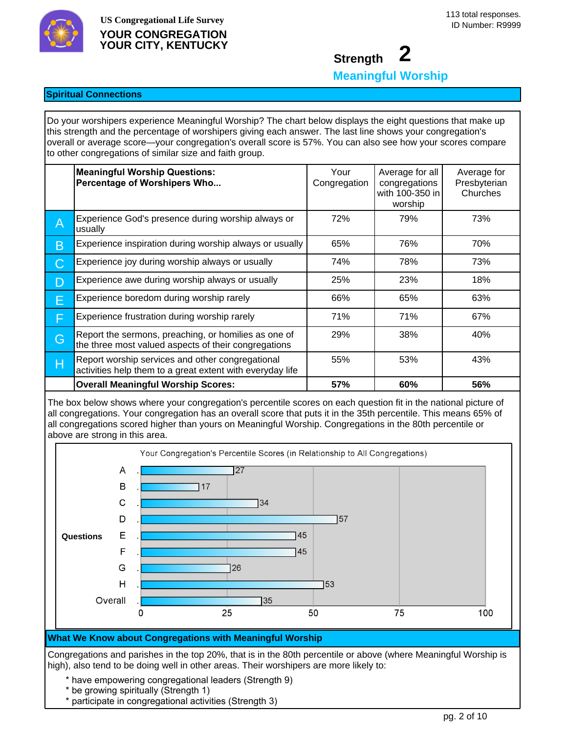

## **Strength 2 Meaningful Worship**

## **Spiritual Connections**

Do your worshipers experience Meaningful Worship? The chart below displays the eight questions that make up this strength and the percentage of worshipers giving each answer. The last line shows your congregation's overall or average score—your congregation's overall score is 57%. You can also see how your scores compare to other congregations of similar size and faith group.

|   | <b>Meaningful Worship Questions:</b><br>Percentage of Worshipers Who                                          | Your<br>Congregation | Average for all<br>congregations<br>with 100-350 in<br>worship | Average for<br>Presbyterian<br>Churches |
|---|---------------------------------------------------------------------------------------------------------------|----------------------|----------------------------------------------------------------|-----------------------------------------|
| Α | Experience God's presence during worship always or<br>usually                                                 | 72%                  | 79%                                                            | 73%                                     |
| Β | Experience inspiration during worship always or usually                                                       | 65%                  | 76%                                                            | 70%                                     |
| С | Experience joy during worship always or usually                                                               | 74%                  | 78%                                                            | 73%                                     |
| D | Experience awe during worship always or usually                                                               | 25%                  | 23%                                                            | 18%                                     |
| E | Experience boredom during worship rarely                                                                      | 66%                  | 65%                                                            | 63%                                     |
| F | Experience frustration during worship rarely                                                                  | 71%                  | 71%                                                            | 67%                                     |
| G | Report the sermons, preaching, or homilies as one of<br>the three most valued aspects of their congregations  | 29%                  | 38%                                                            | 40%                                     |
| Н | Report worship services and other congregational<br>activities help them to a great extent with everyday life | 55%                  | 53%                                                            | 43%                                     |
|   | <b>Overall Meaningful Worship Scores:</b>                                                                     | 57%                  | 60%                                                            | 56%                                     |

The box below shows where your congregation's percentile scores on each question fit in the national picture of all congregations. Your congregation has an overall score that puts it in the 35th percentile. This means 65% of all congregations scored higher than yours on Meaningful Worship. Congregations in the 80th percentile or above are strong in this area.



#### **What We Know about Congregations with Meaningful Worship**

Congregations and parishes in the top 20%, that is in the 80th percentile or above (where Meaningful Worship is high), also tend to be doing well in other areas. Their worshipers are more likely to:

- \* have empowering congregational leaders (Strength 9)
- \* be growing spiritually (Strength 1)
- \* participate in congregational activities (Strength 3)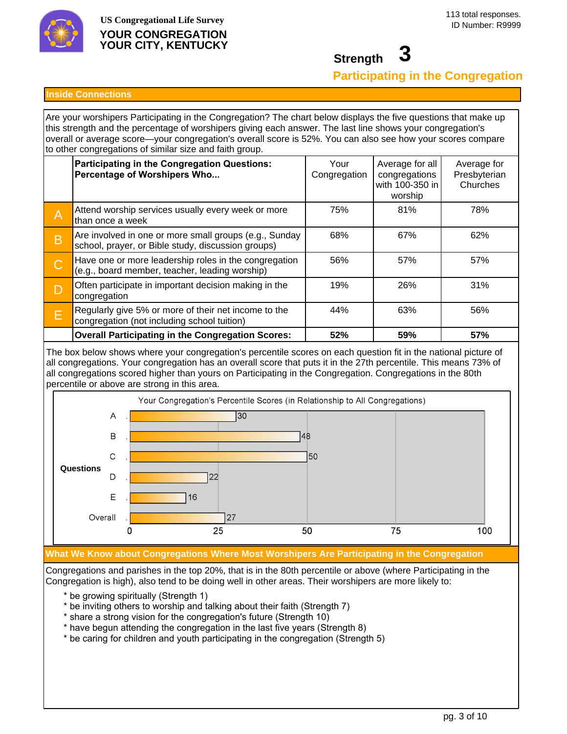

**Strength 3**

**Participating in the Congregation**

#### **Inside Connections**

Are your worshipers Participating in the Congregation? The chart below displays the five questions that make up this strength and the percentage of worshipers giving each answer. The last line shows your congregation's overall or average score—your congregation's overall score is 52%. You can also see how your scores compare to other congregations of similar size and faith group.

|   | Participating in the Congregation Questions:<br>Percentage of Worshipers Who                                 | Your<br>Congregation | Average for all<br>congregations<br>with 100-350 in<br>worship | Average for<br>Presbyterian<br>Churches |
|---|--------------------------------------------------------------------------------------------------------------|----------------------|----------------------------------------------------------------|-----------------------------------------|
| Α | Attend worship services usually every week or more<br>than once a week                                       | 75%                  | 81%                                                            | 78%                                     |
| B | Are involved in one or more small groups (e.g., Sunday<br>school, prayer, or Bible study, discussion groups) | 68%                  | 67%                                                            | 62%                                     |
| С | Have one or more leadership roles in the congregation<br>(e.g., board member, teacher, leading worship)      | 56%                  | 57%                                                            | 57%                                     |
|   | Often participate in important decision making in the<br>congregation                                        | 19%                  | 26%                                                            | 31%                                     |
| Е | Regularly give 5% or more of their net income to the<br>congregation (not including school tuition)          | 44%                  | 63%                                                            | 56%                                     |
|   | <b>Overall Participating in the Congregation Scores:</b>                                                     | 52%                  | 59%                                                            | 57%                                     |

The box below shows where your congregation's percentile scores on each question fit in the national picture of all congregations. Your congregation has an overall score that puts it in the 27th percentile. This means 73% of all congregations scored higher than yours on Participating in the Congregation. Congregations in the 80th percentile or above are strong in this area.



## **What We Know about Congregations Where Most Worshipers Are Participating in the Congregation**

Congregations and parishes in the top 20%, that is in the 80th percentile or above (where Participating in the Congregation is high), also tend to be doing well in other areas. Their worshipers are more likely to:

- \* be growing spiritually (Strength 1)
- \* be inviting others to worship and talking about their faith (Strength 7)
- \* share a strong vision for the congregation's future (Strength 10)
- \* have begun attending the congregation in the last five years (Strength 8)
- \* be caring for children and youth participating in the congregation (Strength 5)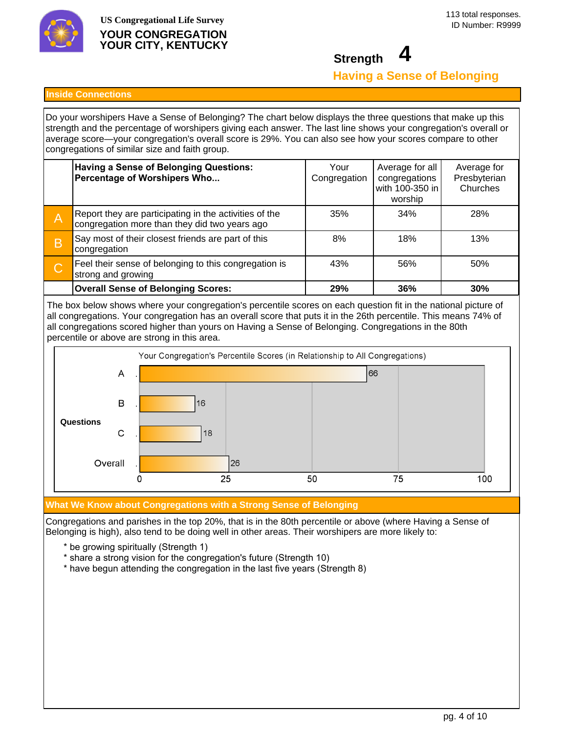

## **Strength 4 Having a Sense of Belonging**

#### **Inside Connections**

Do your worshipers Have a Sense of Belonging? The chart below displays the three questions that make up this strength and the percentage of worshipers giving each answer. The last line shows your congregation's overall or average score—your congregation's overall score is 29%. You can also see how your scores compare to other congregations of similar size and faith group.

|   | <b>Having a Sense of Belonging Questions:</b><br>Percentage of Worshipers Who                           | Your<br>Congregation | Average for all<br>congregations<br>with 100-350 in<br>worship | Average for<br>Presbyterian<br>Churches |
|---|---------------------------------------------------------------------------------------------------------|----------------------|----------------------------------------------------------------|-----------------------------------------|
| A | Report they are participating in the activities of the<br>congregation more than they did two years ago | 35%                  | 34%                                                            | 28%                                     |
| Β | Say most of their closest friends are part of this<br>congregation                                      | 8%                   | 18%                                                            | 13%                                     |
| С | Feel their sense of belonging to this congregation is<br>strong and growing                             | 43%                  | 56%                                                            | 50%                                     |
|   | <b>Overall Sense of Belonging Scores:</b>                                                               | 29%                  | 36%                                                            | 30%                                     |

The box below shows where your congregation's percentile scores on each question fit in the national picture of all congregations. Your congregation has an overall score that puts it in the 26th percentile. This means 74% of all congregations scored higher than yours on Having a Sense of Belonging. Congregations in the 80th percentile or above are strong in this area.



## **What We Know about Congregations with a Strong Sense of Belonging**

Congregations and parishes in the top 20%, that is in the 80th percentile or above (where Having a Sense of Belonging is high), also tend to be doing well in other areas. Their worshipers are more likely to:

- \* be growing spiritually (Strength 1)
- \* share a strong vision for the congregation's future (Strength 10)
- \* have begun attending the congregation in the last five years (Strength 8)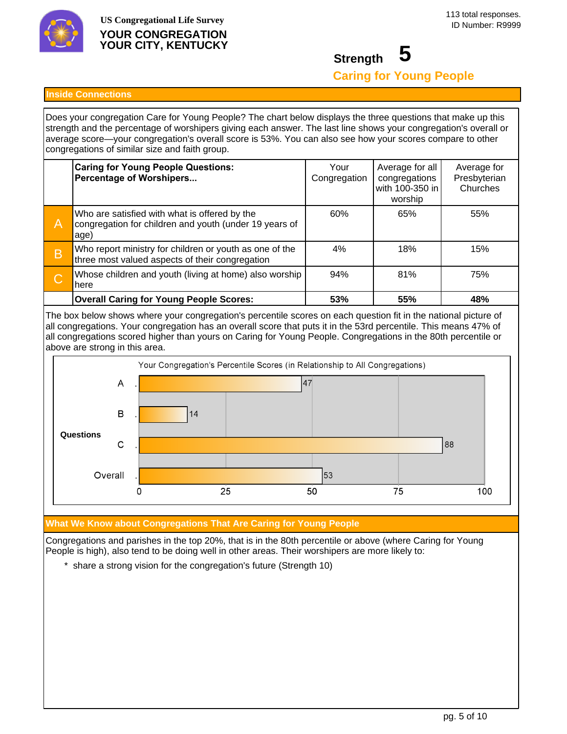

# **Strength 5 Caring for Young People**

#### **Inside Connections**

Does your congregation Care for Young People? The chart below displays the three questions that make up this strength and the percentage of worshipers giving each answer. The last line shows your congregation's overall or average score—your congregation's overall score is 53%. You can also see how your scores compare to other congregations of similar size and faith group.

|         | <b>Caring for Young People Questions:</b><br>Percentage of Worshipers                                           | Your<br>Congregation | Average for all<br>congregations<br>with 100-350 in<br>worship | Average for<br>Presbyterian<br>Churches |
|---------|-----------------------------------------------------------------------------------------------------------------|----------------------|----------------------------------------------------------------|-----------------------------------------|
| Α       | Who are satisfied with what is offered by the<br>congregation for children and youth (under 19 years of<br>age) | 60%                  | 65%                                                            | 55%                                     |
| B       | Who report ministry for children or youth as one of the<br>three most valued aspects of their congregation      | 4%                   | 18%                                                            | 15%                                     |
| $\bf C$ | Whose children and youth (living at home) also worship<br>here                                                  | 94%                  | 81%                                                            | 75%                                     |
|         | <b>Overall Caring for Young People Scores:</b>                                                                  | 53%                  | 55%                                                            | 48%                                     |

The box below shows where your congregation's percentile scores on each question fit in the national picture of all congregations. Your congregation has an overall score that puts it in the 53rd percentile. This means 47% of all congregations scored higher than yours on Caring for Young People. Congregations in the 80th percentile or above are strong in this area.



## **What We Know about Congregations That Are Caring for Young People**

Congregations and parishes in the top 20%, that is in the 80th percentile or above (where Caring for Young People is high), also tend to be doing well in other areas. Their worshipers are more likely to:

\* share a strong vision for the congregation's future (Strength 10)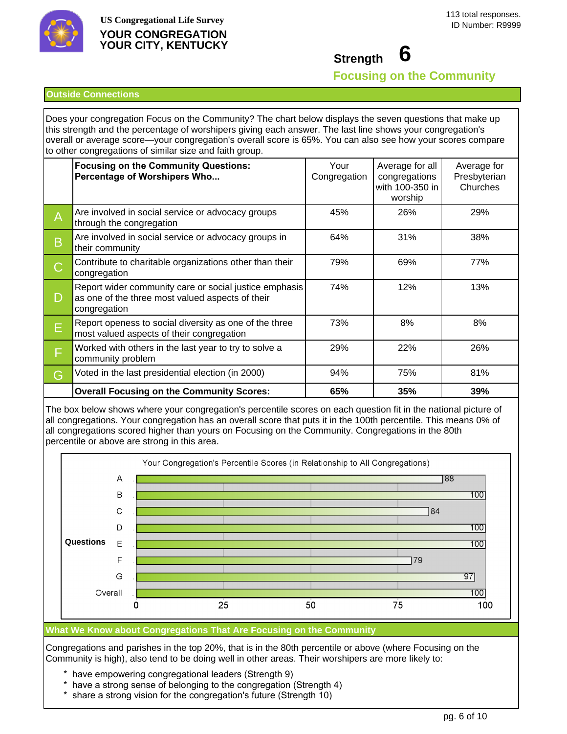

**Strength 6**

**Focusing on the Community**

#### **Outside Connections**

Does your congregation Focus on the Community? The chart below displays the seven questions that make up this strength and the percentage of worshipers giving each answer. The last line shows your congregation's overall or average score—your congregation's overall score is 65%. You can also see how your scores compare to other congregations of similar size and faith group.

|   | <b>Focusing on the Community Questions:</b><br>Percentage of Worshipers Who                                                | Your<br>Congregation | Average for all<br>congregations<br>with 100-350 in<br>worship | Average for<br>Presbyterian<br>Churches |
|---|----------------------------------------------------------------------------------------------------------------------------|----------------------|----------------------------------------------------------------|-----------------------------------------|
| A | Are involved in social service or advocacy groups<br>through the congregation                                              | 45%                  | 26%                                                            | 29%                                     |
| B | Are involved in social service or advocacy groups in<br>their community                                                    | 64%                  | 31%                                                            | 38%                                     |
| C | Contribute to charitable organizations other than their<br>congregation                                                    | 79%                  | 69%                                                            | 77%                                     |
| D | Report wider community care or social justice emphasis<br>as one of the three most valued aspects of their<br>congregation | 74%                  | 12%                                                            | 13%                                     |
| E | Report openess to social diversity as one of the three<br>most valued aspects of their congregation                        | 73%                  | 8%                                                             | 8%                                      |
| F | Worked with others in the last year to try to solve a<br>community problem                                                 | 29%                  | 22%                                                            | 26%                                     |
| G | Voted in the last presidential election (in 2000)                                                                          | 94%                  | 75%                                                            | 81%                                     |
|   | <b>Overall Focusing on the Community Scores:</b>                                                                           | 65%                  | 35%                                                            | 39%                                     |

The box below shows where your congregation's percentile scores on each question fit in the national picture of all congregations. Your congregation has an overall score that puts it in the 100th percentile. This means 0% of all congregations scored higher than yours on Focusing on the Community. Congregations in the 80th percentile or above are strong in this area.



#### **What We Know about Congregations That Are Focusing on the Community**

Congregations and parishes in the top 20%, that is in the 80th percentile or above (where Focusing on the Community is high), also tend to be doing well in other areas. Their worshipers are more likely to:

- \* have empowering congregational leaders (Strength 9)
- \* have a strong sense of belonging to the congregation (Strength 4)
- \* share a strong vision for the congregation's future (Strength 10)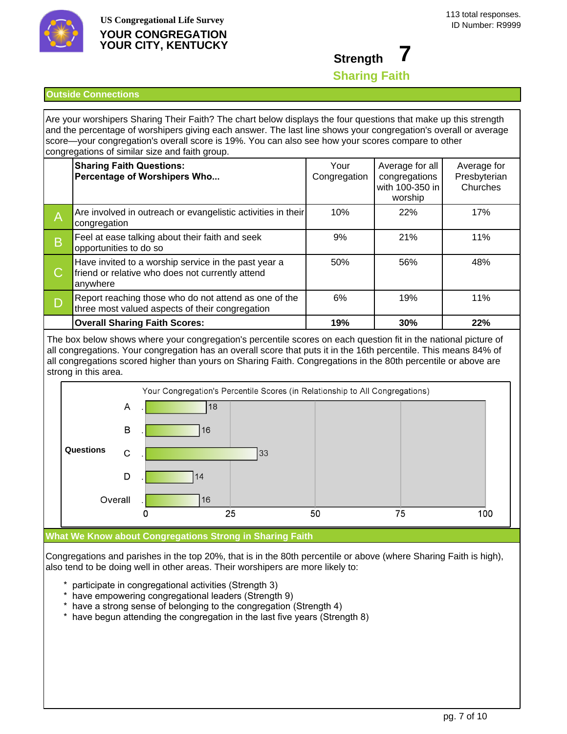

# **Strength 7 Sharing Faith**

### **Outside Connections**

Are your worshipers Sharing Their Faith? The chart below displays the four questions that make up this strength and the percentage of worshipers giving each answer. The last line shows your congregation's overall or average score—your congregation's overall score is 19%. You can also see how your scores compare to other congregations of similar size and faith group.

|                          | <b>Sharing Faith Questions:</b><br>Percentage of Worshipers Who                                                      | Your<br>Congregation | Average for all<br>congregations<br>with 100-350 in<br>worship | Average for<br>Presbyterian<br>Churches |
|--------------------------|----------------------------------------------------------------------------------------------------------------------|----------------------|----------------------------------------------------------------|-----------------------------------------|
| $\overline{A}$           | Are involved in outreach or evangelistic activities in their<br>congregation                                         | 10%                  | 22%                                                            | 17%                                     |
| $\overline{\phantom{a}}$ | Feel at ease talking about their faith and seek<br>opportunities to do so                                            | 9%                   | 21%                                                            | 11%                                     |
| $\mathcal C$             | Have invited to a worship service in the past year a<br>friend or relative who does not currently attend<br>anywhere | 50%                  | 56%                                                            | 48%                                     |
|                          | Report reaching those who do not attend as one of the<br>three most valued aspects of their congregation             | 6%                   | 19%                                                            | 11%                                     |
|                          | <b>Overall Sharing Faith Scores:</b>                                                                                 | 19%                  | 30%                                                            | 22%                                     |

The box below shows where your congregation's percentile scores on each question fit in the national picture of all congregations. Your congregation has an overall score that puts it in the 16th percentile. This means 84% of all congregations scored higher than yours on Sharing Faith. Congregations in the 80th percentile or above are strong in this area.



#### **What We Know about Congregations Strong in Sharing Faith**

Congregations and parishes in the top 20%, that is in the 80th percentile or above (where Sharing Faith is high), also tend to be doing well in other areas. Their worshipers are more likely to:

- \* participate in congregational activities (Strength 3)
- \* have empowering congregational leaders (Strength 9)
- \* have a strong sense of belonging to the congregation (Strength 4)
- \* have begun attending the congregation in the last five years (Strength 8)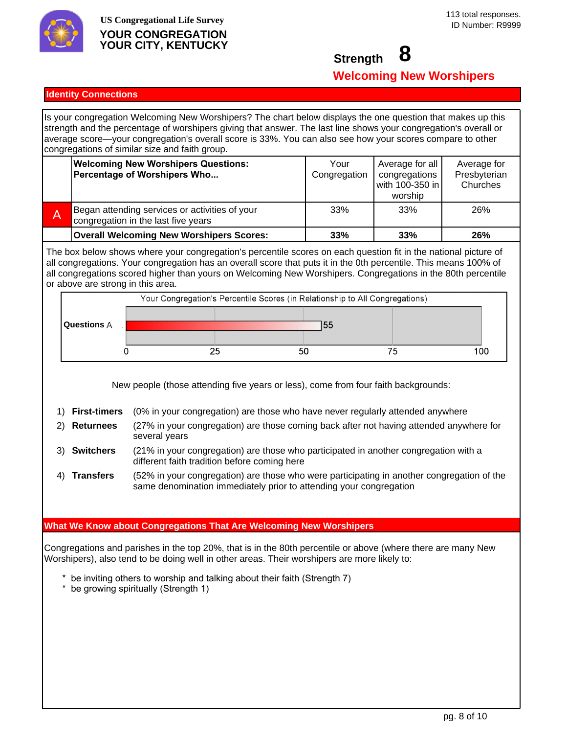

## **Strength 8 Welcoming New Worshipers**

### **Identity Connections**

Is your congregation Welcoming New Worshipers? The chart below displays the one question that makes up this strength and the percentage of worshipers giving that answer. The last line shows your congregation's overall or average score—your congregation's overall score is 33%. You can also see how your scores compare to other congregations of similar size and faith group.

| <b>Welcoming New Worshipers Questions:</b><br>Percentage of Worshipers Who            | Your<br>Congregation | Average for all<br>congregations<br>with 100-350 in<br>worship | Average for<br>Presbyterian<br>Churches |
|---------------------------------------------------------------------------------------|----------------------|----------------------------------------------------------------|-----------------------------------------|
| Began attending services or activities of your<br>congregation in the last five years | 33%                  | 33%                                                            | 26%                                     |
| <b>Overall Welcoming New Worshipers Scores:</b>                                       | 33%                  | 33%                                                            | 26%                                     |

The box below shows where your congregation's percentile scores on each question fit in the national picture of all congregations. Your congregation has an overall score that puts it in the 0th percentile. This means 100% of all congregations scored higher than yours on Welcoming New Worshipers. Congregations in the 80th percentile or above are strong in this area.



New people (those attending five years or less), come from four faith backgrounds:

- 1) **First-timers** (0% in your congregation) are those who have never regularly attended anywhere
- 2) **Returnees** (27% in your congregation) are those coming back after not having attended anywhere for several years
- 3) **Switchers** (21% in your congregation) are those who participated in another congregation with a different faith tradition before coming here
- 4) **Transfers** (52% in your congregation) are those who were participating in another congregation of the same denomination immediately prior to attending your congregation

## **What We Know about Congregations That Are Welcoming New Worshipers**

Congregations and parishes in the top 20%, that is in the 80th percentile or above (where there are many New Worshipers), also tend to be doing well in other areas. Their worshipers are more likely to:

- \* be inviting others to worship and talking about their faith (Strength 7)
- $*$  be growing spiritually (Strength 1)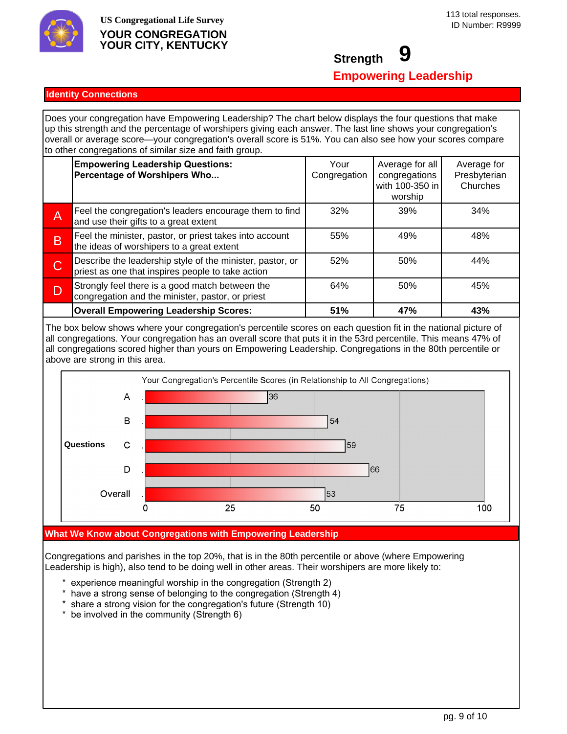

## **Strength 9 Empowering Leadership**

## **Identity Connections**

Does your congregation have Empowering Leadership? The chart below displays the four questions that make up this strength and the percentage of worshipers giving each answer. The last line shows your congregation's overall or average score—your congregation's overall score is 51%. You can also see how your scores compare to other congregations of similar size and faith group.

|   | <b>Empowering Leadership Questions:</b><br>Percentage of Worshipers Who                                        | Your<br>Congregation | Average for all<br>congregations<br>with 100-350 in<br>worship | Average for<br>Presbyterian<br>Churches |
|---|----------------------------------------------------------------------------------------------------------------|----------------------|----------------------------------------------------------------|-----------------------------------------|
| Α | Feel the congregation's leaders encourage them to find<br>and use their gifts to a great extent                | 32%                  | 39%                                                            | 34%                                     |
| B | Feel the minister, pastor, or priest takes into account<br>the ideas of worshipers to a great extent           | 55%                  | 49%                                                            | 48%                                     |
| C | Describe the leadership style of the minister, pastor, or<br>priest as one that inspires people to take action | 52%                  | 50%                                                            | 44%                                     |
| D | Strongly feel there is a good match between the<br>congregation and the minister, pastor, or priest            | 64%                  | 50%                                                            | 45%                                     |
|   | <b>Overall Empowering Leadership Scores:</b>                                                                   | 51%                  | 47%                                                            | 43%                                     |

The box below shows where your congregation's percentile scores on each question fit in the national picture of all congregations. Your congregation has an overall score that puts it in the 53rd percentile. This means 47% of all congregations scored higher than yours on Empowering Leadership. Congregations in the 80th percentile or above are strong in this area.



#### **What We Know about Congregations with Empowering Leadership**

Congregations and parishes in the top 20%, that is in the 80th percentile or above (where Empowering Leadership is high), also tend to be doing well in other areas. Their worshipers are more likely to:

- \* experience meaningful worship in the congregation (Strength 2)<br>\* have a strong sense of belonging to the congregation (Strength)
- have a strong sense of belonging to the congregation (Strength 4)
- \* share a strong vision for the congregation's future (Strength 10)
- $*$  be involved in the community (Strength 6)